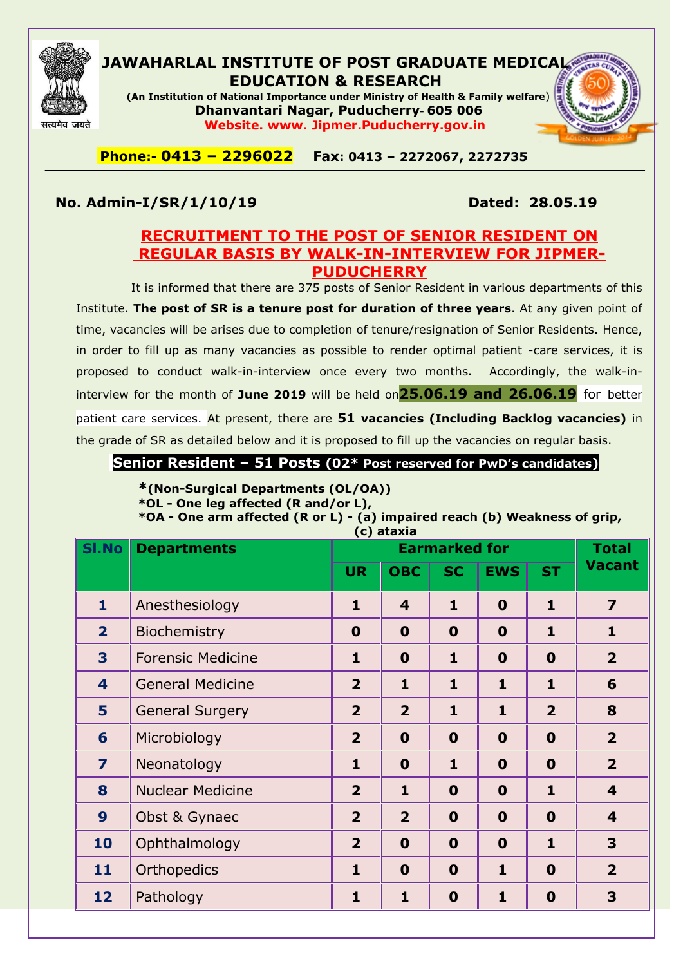

#### **JAWAHARLAL INSTITUTE OF POST GRADUATE MEDICAL EDUCATION & RESEARCH**

**(An Institution of National Importance under Ministry of Health & Family welfare**) **Dhanvantari Nagar, Puducherry- 605 006 Website. www. Jipmer.Puducherry.gov.in**



### **No. Admin-I/SR/1/10/19 Dated: 28.05.19**

### **RECRUITMENT TO THE POST OF SENIOR RESIDENT ON REGULAR BASIS BY WALK-IN-INTERVIEW FOR JIPMER-PUDUCHERRY**

It is informed that there are 375 posts of Senior Resident in various departments of this Institute. **The post of SR is a tenure post for duration of three years**. At any given point of time, vacancies will be arises due to completion of tenure/resignation of Senior Residents. Hence, in order to fill up as many vacancies as possible to render optimal patient -care services, it is proposed to conduct walk-in-interview once every two months**.** Accordingly, the walk-ininterview for the month of **June 2019** will be held on**25.06.19 and 26.06.19** for better patient care services. At present, there are **51 vacancies (Including Backlog vacancies)** in the grade of SR as detailed below and it is proposed to fill up the vacancies on regular basis.

**Senior Resident – 51 Posts (02\* Post reserved for PwD's candidates)**

### **\*(Non-Surgical Departments (OL/OA))**

**\*OL - One leg affected (R and/or L),** 

**\*OA - One arm affected (R or L) - (a) impaired reach (b) Weakness of grip, (c) ataxia**

| <b>SI.No</b>            | <b>Departments</b>       |                         | (C) ataxia              | <b>Earmarked for</b> |              |                | <b>Total</b>            |
|-------------------------|--------------------------|-------------------------|-------------------------|----------------------|--------------|----------------|-------------------------|
|                         |                          | <b>UR</b>               | <b>OBC</b>              | <b>SC</b>            | <b>EWS</b>   | <b>ST</b>      | <b>Vacant</b>           |
| $\mathbf{1}$            | Anesthesiology           | $\mathbf{1}$            | $\overline{\mathbf{4}}$ | $\mathbf{1}$         | $\mathbf 0$  | $\mathbf{1}$   | $\overline{7}$          |
| $\overline{2}$          | Biochemistry             | $\bf{0}$                | $\mathbf 0$             | $\mathbf 0$          | $\mathbf 0$  | $\mathbf{1}$   | $\mathbf{1}$            |
| 3                       | <b>Forensic Medicine</b> | $\mathbf{1}$            | $\mathbf 0$             | $\mathbf{1}$         | $\mathbf 0$  | $\mathbf 0$    | $\overline{2}$          |
| $\overline{\mathbf{4}}$ | <b>General Medicine</b>  | $\overline{2}$          | $\mathbf{1}$            | $\mathbf{1}$         | $\mathbf{1}$ | $\mathbf{1}$   | 6                       |
| 5                       | <b>General Surgery</b>   | $\overline{2}$          | $\overline{2}$          | $\mathbf{1}$         | $\mathbf{1}$ | $\overline{2}$ | 8                       |
| 6                       | Microbiology             | $\overline{2}$          | $\mathbf 0$             | $\mathbf 0$          | $\mathbf 0$  | $\mathbf 0$    | $\overline{2}$          |
| $\overline{\mathbf{z}}$ | Neonatology              | $\mathbf{1}$            | $\mathbf 0$             | $\mathbf{1}$         | $\mathbf 0$  | $\mathbf 0$    | $\overline{2}$          |
| 8                       | <b>Nuclear Medicine</b>  | $\overline{2}$          | $\mathbf{1}$            | $\mathbf 0$          | $\mathbf 0$  | $\mathbf{1}$   | $\overline{\mathbf{4}}$ |
| 9                       | Obst & Gynaec            | $\overline{\mathbf{2}}$ | $\overline{2}$          | $\mathbf 0$          | $\mathbf 0$  | $\mathbf 0$    | $\overline{\mathbf{4}}$ |
| 10                      | Ophthalmology            | $\overline{2}$          | $\mathbf 0$             | $\mathbf 0$          | $\mathbf 0$  | $\mathbf{1}$   | 3                       |
| 11                      | Orthopedics              | $\mathbf{1}$            | $\mathbf 0$             | $\mathbf 0$          | $\mathbf{1}$ | $\bf{0}$       | $\overline{2}$          |
| 12                      | Pathology                | $\mathbf{1}$            | $\mathbf{1}$            | $\mathbf 0$          | $\mathbf{1}$ | $\mathbf 0$    | 3                       |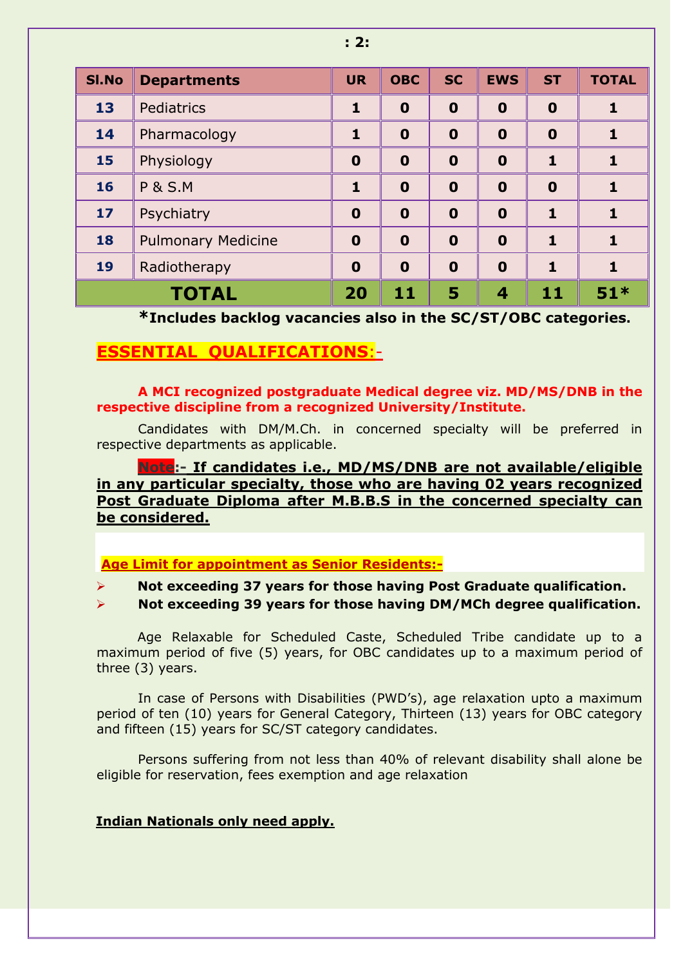| <b>SI.No</b> | <b>Departments</b>        | <b>UR</b>        | <b>OBC</b>  | <b>SC</b>   | <b>EWS</b>       | <b>ST</b>    | <b>TOTAL</b> |
|--------------|---------------------------|------------------|-------------|-------------|------------------|--------------|--------------|
| 13           | Pediatrics                | 1                | $\mathbf 0$ | $\bf{0}$    | $\bf{0}$         | $\bf{0}$     |              |
| 14           | Pharmacology              | 1                | $\mathbf 0$ | $\bf{0}$    | $\boldsymbol{0}$ | $\mathbf 0$  |              |
| 15           | Physiology                | $\boldsymbol{0}$ | $\mathbf 0$ | $\mathbf 0$ | $\bf{0}$         | 1            | 1            |
| 16           | <b>P &amp; S.M</b>        | 1                | $\bf{0}$    | $\mathbf 0$ | $\bf{0}$         | $\mathbf 0$  | 1            |
| $17$         | Psychiatry                | $\boldsymbol{0}$ | $\mathbf 0$ | $\bf{0}$    | $\bf{0}$         | $\mathbf{1}$ | 1            |
| 18           | <b>Pulmonary Medicine</b> | $\boldsymbol{0}$ | $\mathbf 0$ | $\bf{0}$    | $\bf{0}$         | $\mathbf{1}$ | 1            |
| 19           | Radiotherapy              | $\boldsymbol{0}$ | $\mathbf 0$ | $\bf{0}$    | $\bf{0}$         | 1            | 1            |
|              | <b>TOTAL</b>              | 20               | 11          | 5           | 4                | 11           | $51*$        |

**\*Includes backlog vacancies also in the SC/ST/OBC categories.**

### **ESSENTIAL QUALIFICATIONS**:-

#### **A MCI recognized postgraduate Medical degree viz. MD/MS/DNB in the respective discipline from a recognized University/Institute.**

Candidates with DM/M.Ch. in concerned specialty will be preferred in respective departments as applicable.

**Note:- If candidates i.e., MD/MS/DNB are not available/eligible in any particular specialty, those who are having 02 years recognized Post Graduate Diploma after M.B.B.S in the concerned specialty can be considered.**

**Age Limit for appointment as Senior Residents:-**

**Not exceeding 37 years for those having Post Graduate qualification.**

 **Not exceeding 39 years for those having DM/MCh degree qualification.**

Age Relaxable for Scheduled Caste, Scheduled Tribe candidate up to a maximum period of five (5) years, for OBC candidates up to a maximum period of three (3) years.

In case of Persons with Disabilities (PWD"s), age relaxation upto a maximum period of ten (10) years for General Category, Thirteen (13) years for OBC category and fifteen (15) years for SC/ST category candidates.

Persons suffering from not less than 40% of relevant disability shall alone be eligible for reservation, fees exemption and age relaxation

#### **Indian Nationals only need apply.**

**: 2:**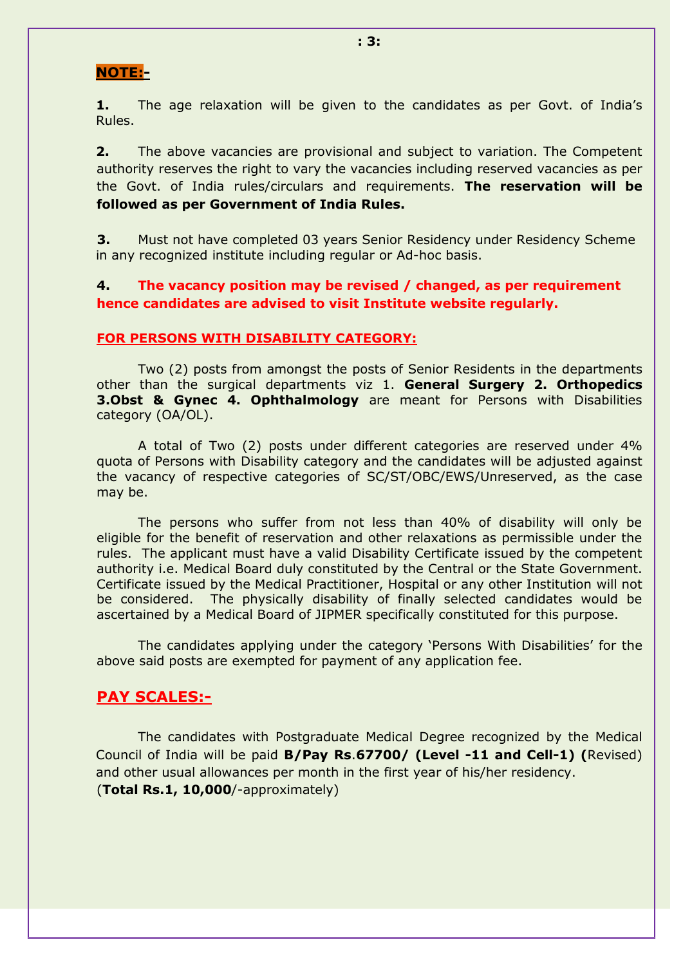### **NOTE:-**

**1.** The age relaxation will be given to the candidates as per Govt. of India's Rules.

**2.** The above vacancies are provisional and subject to variation. The Competent authority reserves the right to vary the vacancies including reserved vacancies as per the Govt. of India rules/circulars and requirements. **The reservation will be followed as per Government of India Rules.**

**3.** Must not have completed 03 years Senior Residency under Residency Scheme in any recognized institute including regular or Ad-hoc basis.

**4. The vacancy position may be revised / changed, as per requirement hence candidates are advised to visit Institute website regularly.**

#### **FOR PERSONS WITH DISABILITY CATEGORY:**

Two (2) posts from amongst the posts of Senior Residents in the departments other than the surgical departments viz 1. **General Surgery 2. Orthopedics 3.Obst & Gynec 4. Ophthalmology** are meant for Persons with Disabilities category (OA/OL).

A total of Two (2) posts under different categories are reserved under 4% quota of Persons with Disability category and the candidates will be adjusted against the vacancy of respective categories of SC/ST/OBC/EWS/Unreserved, as the case may be.

The persons who suffer from not less than 40% of disability will only be eligible for the benefit of reservation and other relaxations as permissible under the rules. The applicant must have a valid Disability Certificate issued by the competent authority i.e. Medical Board duly constituted by the Central or the State Government. Certificate issued by the Medical Practitioner, Hospital or any other Institution will not be considered. The physically disability of finally selected candidates would be ascertained by a Medical Board of JIPMER specifically constituted for this purpose.

The candidates applying under the category "Persons With Disabilities" for the above said posts are exempted for payment of any application fee.

#### **PAY SCALES:-**

The candidates with Postgraduate Medical Degree recognized by the Medical Council of India will be paid **B/Pay Rs**.**67700/ (Level -11 and Cell-1) (**Revised) and other usual allowances per month in the first year of his/her residency. (**Total Rs.1, 10,000**/-approximately)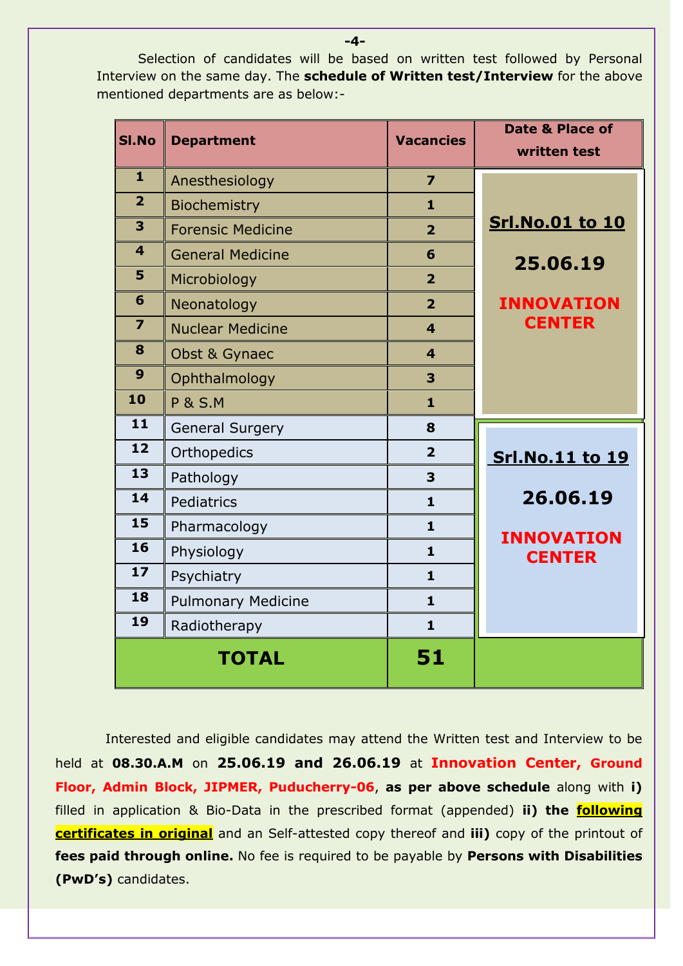Selection of candidates will be based on written test followed by Personal Interview on the same day. The **schedule of Written test/Interview** for the above mentioned departments are as below:-

| SI.No                   | <b>Department</b>         | <b>Vacancies</b>        | <b>Date &amp; Place of</b><br>written test |
|-------------------------|---------------------------|-------------------------|--------------------------------------------|
| $\mathbf{1}$            | Anesthesiology            | $\overline{z}$          |                                            |
| $\overline{2}$          | <b>Biochemistry</b>       | $\mathbf{1}$            |                                            |
| $\overline{\mathbf{3}}$ | <b>Forensic Medicine</b>  | $\overline{2}$          | <b>Srl.No.01 to 10</b>                     |
| $\overline{\mathbf{4}}$ | <b>General Medicine</b>   | 6                       | 25.06.19                                   |
| 5                       | Microbiology              | $\overline{2}$          |                                            |
| 6                       | Neonatology               | $\overline{2}$          | <b>INNOVATION</b>                          |
| $\overline{7}$          | <b>Nuclear Medicine</b>   | $\overline{\mathbf{4}}$ | <b>CENTER</b>                              |
| 8                       | Obst & Gynaec             | $\overline{\mathbf{4}}$ |                                            |
| 9                       | Ophthalmology             | 3                       |                                            |
| 10                      | <b>P &amp; S.M</b>        | $\mathbf{1}$            |                                            |
| 11                      | <b>General Surgery</b>    | 8                       |                                            |
| 12                      | Orthopedics               | $\overline{2}$          | <b>Srl.No.11 to 19</b>                     |
| 13                      | Pathology                 | 3                       |                                            |
| 14                      | Pediatrics                | $\mathbf{1}$            | 26.06.19                                   |
| 15                      | Pharmacology              | $\mathbf{1}$            | <b>INNOVATION</b>                          |
| 16                      | Physiology                | $\mathbf{1}$            | <b>CENTER</b>                              |
| 17                      | Psychiatry                | $\mathbf{1}$            |                                            |
| 18                      | <b>Pulmonary Medicine</b> | $\mathbf{1}$            |                                            |
| 19                      | Radiotherapy              | $\mathbf{1}$            |                                            |
|                         | <b>TOTAL</b>              | 51                      |                                            |

 Interested and eligible candidates may attend the Written test and Interview to be held at **08.30.A.M** on **25.06.19 and 26.06.19** at **Innovation Center, Ground Floor, Admin Block, JIPMER, Puducherry-06**, **as per above schedule** along with **i)**  filled in application & Bio-Data in the prescribed format (appended) **ii) the following certificates in original** and an Self-attested copy thereof and **iii)** copy of the printout of **fees paid through online.** No fee is required to be payable by **Persons with Disabilities (PwD's)** candidates.

**-4-**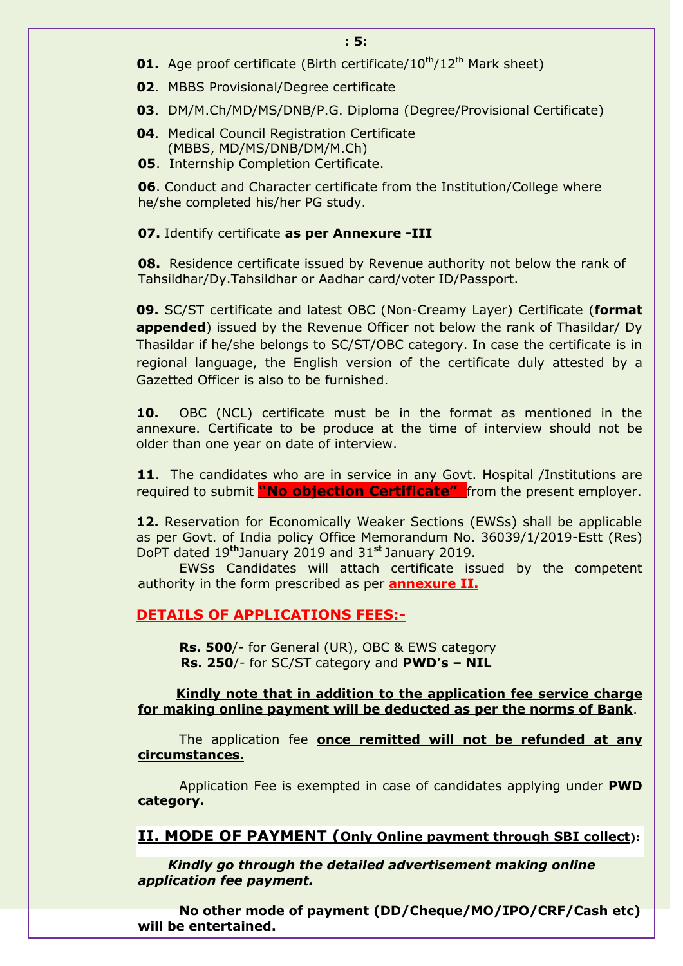- **01.** Age proof certificate (Birth certificate/10<sup>th</sup>/12<sup>th</sup> Mark sheet)
- **02**. MBBS Provisional/Degree certificate
- **03**. DM/M.Ch/MD/MS/DNB/P.G. Diploma (Degree/Provisional Certificate)
- **04**. Medical Council Registration Certificate (MBBS, MD/MS/DNB/DM/M.Ch)
- **05**. Internship Completion Certificate.

**06**. Conduct and Character certificate from the Institution/College where he/she completed his/her PG study.

#### **07.** Identify certificate **as per Annexure -III**

**08.** Residence certificate issued by Revenue authority not below the rank of Tahsildhar/Dy.Tahsildhar or Aadhar card/voter ID/Passport.

**09.** SC/ST certificate and latest OBC (Non-Creamy Layer) Certificate (**format appended**) issued by the Revenue Officer not below the rank of Thasildar/ Dy Thasildar if he/she belongs to SC/ST/OBC category. In case the certificate is in regional language, the English version of the certificate duly attested by a Gazetted Officer is also to be furnished.

**10.** OBC (NCL) certificate must be in the format as mentioned in the annexure. Certificate to be produce at the time of interview should not be older than one year on date of interview.

11. The candidates who are in service in any Govt. Hospital /Institutions are required to submit **"No objection Certificate"** from the present employer.

**12.** Reservation for Economically Weaker Sections (EWSs) shall be applicable as per Govt. of India policy Office Memorandum No. 36039/1/2019-Estt (Res) DoPT dated 19**th**January 2019 and 31**st** January 2019.

EWSs Candidates will attach certificate issued by the competent authority in the form prescribed as per **annexure II.**

#### **DETAILS OF APPLICATIONS FEES:-**

**Rs. 500**/- for General (UR), OBC & EWS category **Rs. 250**/- for SC/ST category and **PWD's – NIL**

#### **Kindly note that in addition to the application fee service charge for making online payment will be deducted as per the norms of Bank**.

The application fee **once remitted will not be refunded at any circumstances.**

Application Fee is exempted in case of candidates applying under **PWD category.**

**II. MODE OF PAYMENT (Only Online payment through SBI collect):** 

 *Kindly go through the detailed advertisement making online application fee payment.*

**No other mode of payment (DD/Cheque/MO/IPO/CRF/Cash etc) will be entertained.**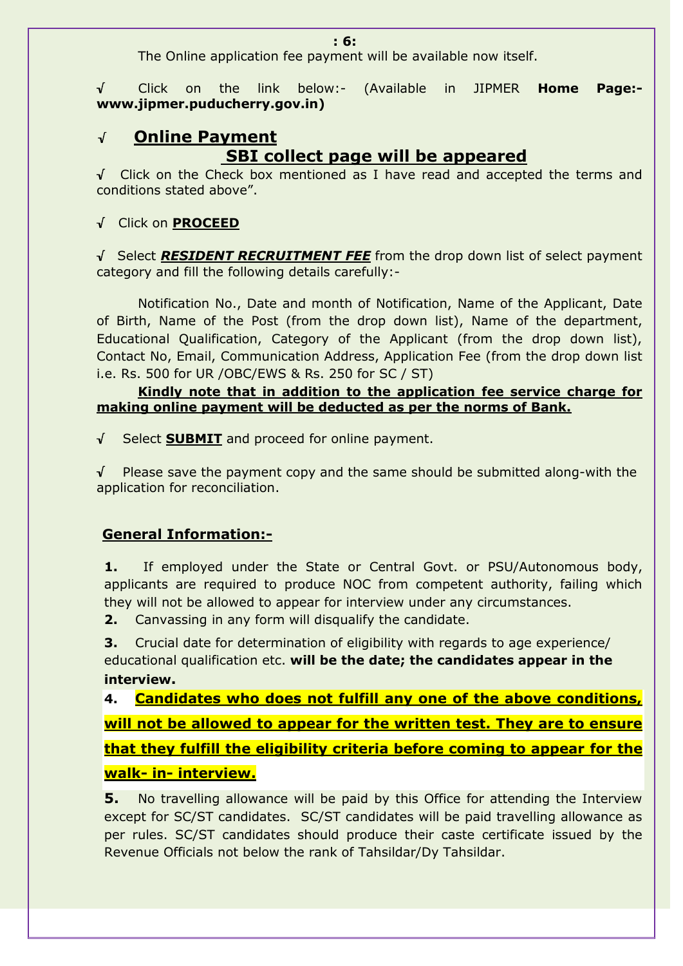The Online application fee payment will be available now itself.

√ Click on the link below:- (Available in JIPMER **Home Page: www.jipmer.puducherry.gov.in)**

## √ **Online Payment SBI collect page will be appeared**

√ Click on the Check box mentioned as I have read and accepted the terms and conditions stated above".

### √ Click on **PROCEED**

√ Select *RESIDENT RECRUITMENT FEE* from the drop down list of select payment category and fill the following details carefully:-

Notification No., Date and month of Notification, Name of the Applicant, Date of Birth, Name of the Post (from the drop down list), Name of the department, Educational Qualification, Category of the Applicant (from the drop down list), Contact No, Email, Communication Address, Application Fee (from the drop down list i.e. Rs. 500 for UR /OBC/EWS & Rs. 250 for SC / ST)

### **Kindly note that in addition to the application fee service charge for making online payment will be deducted as per the norms of Bank.**

√ Select **SUBMIT** and proceed for online payment.

√ Please save the payment copy and the same should be submitted along-with the application for reconciliation.

### **General Information:-**

**1.** If employed under the State or Central Govt. or PSU/Autonomous body, applicants are required to produce NOC from competent authority, failing which they will not be allowed to appear for interview under any circumstances.

**2.** Canvassing in any form will disqualify the candidate.

**3.** Crucial date for determination of eligibility with regards to age experience/ educational qualification etc. **will be the date; the candidates appear in the interview.**

**4. Candidates who does not fulfill any one of the above conditions, will not be allowed to appear for the written test. They are to ensure that they fulfill the eligibility criteria before coming to appear for the walk- in- interview.**

**5.** No travelling allowance will be paid by this Office for attending the Interview except for SC/ST candidates. SC/ST candidates will be paid travelling allowance as per rules. SC/ST candidates should produce their caste certificate issued by the Revenue Officials not below the rank of Tahsildar/Dy Tahsildar.

#### **: 6:**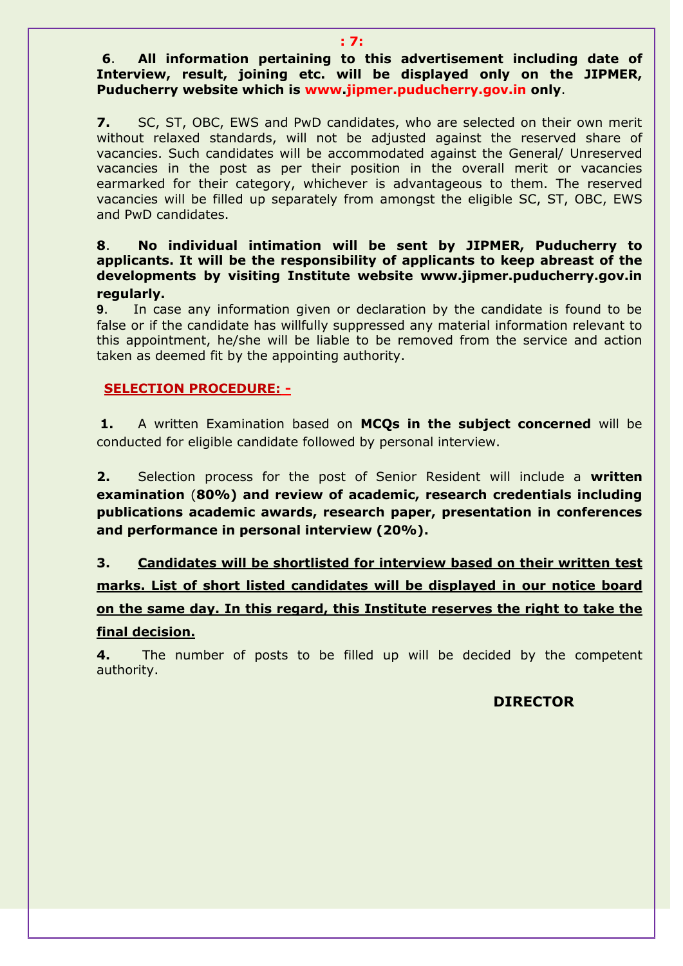**6**. **All information pertaining to this advertisement including date of Interview, result, joining etc. will be displayed only on the JIPMER, Puducherry website which is www.jipmer.puducherry.gov.in only**.

**7.** SC, ST, OBC, EWS and PwD candidates, who are selected on their own merit without relaxed standards, will not be adjusted against the reserved share of vacancies. Such candidates will be accommodated against the General/ Unreserved vacancies in the post as per their position in the overall merit or vacancies earmarked for their category, whichever is advantageous to them. The reserved vacancies will be filled up separately from amongst the eligible SC, ST, OBC, EWS and PwD candidates.

**8**. **No individual intimation will be sent by JIPMER, Puducherry to applicants. It will be the responsibility of applicants to keep abreast of the developments by visiting Institute website www.jipmer.puducherry.gov.in regularly.** 

**9**. In case any information given or declaration by the candidate is found to be false or if the candidate has willfully suppressed any material information relevant to this appointment, he/she will be liable to be removed from the service and action taken as deemed fit by the appointing authority.

#### **SELECTION PROCEDURE: -**

**1.** A written Examination based on **MCQs in the subject concerned** will be conducted for eligible candidate followed by personal interview.

**2.** Selection process for the post of Senior Resident will include a **written examination** (**80%) and review of academic, research credentials including publications academic awards, research paper, presentation in conferences and performance in personal interview (20%).** 

**3. Candidates will be shortlisted for interview based on their written test marks. List of short listed candidates will be displayed in our notice board on the same day. In this regard, this Institute reserves the right to take the final decision.**

**4.** The number of posts to be filled up will be decided by the competent authority.

### **DIRECTOR**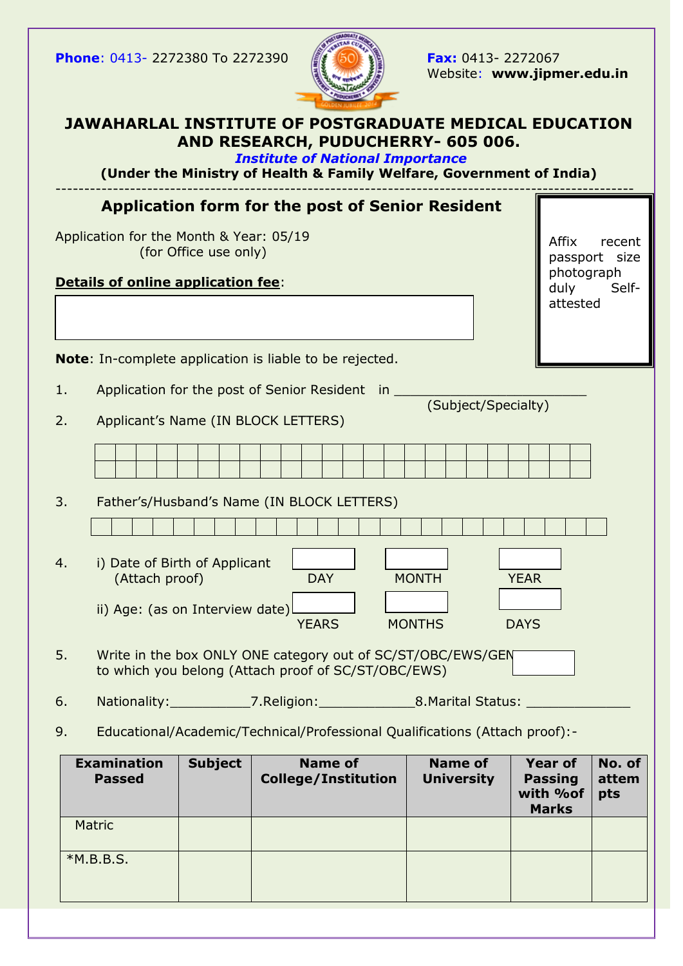**Phone**: 0413- 2272380 To 2272390 **Fax:** 0413- 2272067



Website: **www.jipmer.edu.in**

### **JAWAHARLAL INSTITUTE OF POSTGRADUATE MEDICAL EDUCATION AND RESEARCH, PUDUCHERRY- 605 006.**

*Institute of National Importance*

**(Under the Ministry of Health & Family Welfare, Government of India)** -----------------------------------------------------------------------------------------------------

|                                         | <b>Application form for the post of Senior Resident</b>                                                            |                             |
|-----------------------------------------|--------------------------------------------------------------------------------------------------------------------|-----------------------------|
| Application for the Month & Year: 05/19 | Affix<br>recent<br>passport size                                                                                   |                             |
|                                         | Details of online application fee:                                                                                 | photograph<br>duly<br>Self- |
|                                         |                                                                                                                    | attested                    |
|                                         | Note: In-complete application is liable to be rejected.                                                            |                             |
| 1.                                      | Application for the post of Senior Resident in<br>(Subject/Specialty)                                              |                             |
| 2.                                      | Applicant's Name (IN BLOCK LETTERS)                                                                                |                             |
|                                         |                                                                                                                    |                             |
| 3.                                      | Father's/Husband's Name (IN BLOCK LETTERS)                                                                         |                             |
|                                         |                                                                                                                    |                             |
| 4.                                      | i) Date of Birth of Applicant<br><b>DAY</b><br><b>MONTH</b><br><b>YEAR</b><br>(Attach proof)                       |                             |
|                                         | ii) Age: (as on Interview date)<br><b>YEARS</b><br><b>MONTHS</b><br><b>DAYS</b>                                    |                             |
| 5.                                      | Write in the box ONLY ONE category out of SC/ST/OBC/EWS/GEN<br>to which you belong (Attach proof of SC/ST/OBC/EWS) |                             |
| 6.                                      | Nationality:______________7.Religion:___________________8.Marital Status: _                                        |                             |
| 9.                                      | Educational/Academic/Technical/Professional Qualifications (Attach proof):-                                        |                             |

| <b>Examination</b><br><b>Passed</b> | <b>Subject</b> | <b>Name of</b><br><b>College/Institution</b> | <b>Name of</b><br><b>University</b> | <b>Year of</b><br><b>Passing</b><br>with %of<br><b>Marks</b> | No. of<br>attem<br>pts |
|-------------------------------------|----------------|----------------------------------------------|-------------------------------------|--------------------------------------------------------------|------------------------|
| Matric                              |                |                                              |                                     |                                                              |                        |
| $*M.B.B.S.$                         |                |                                              |                                     |                                                              |                        |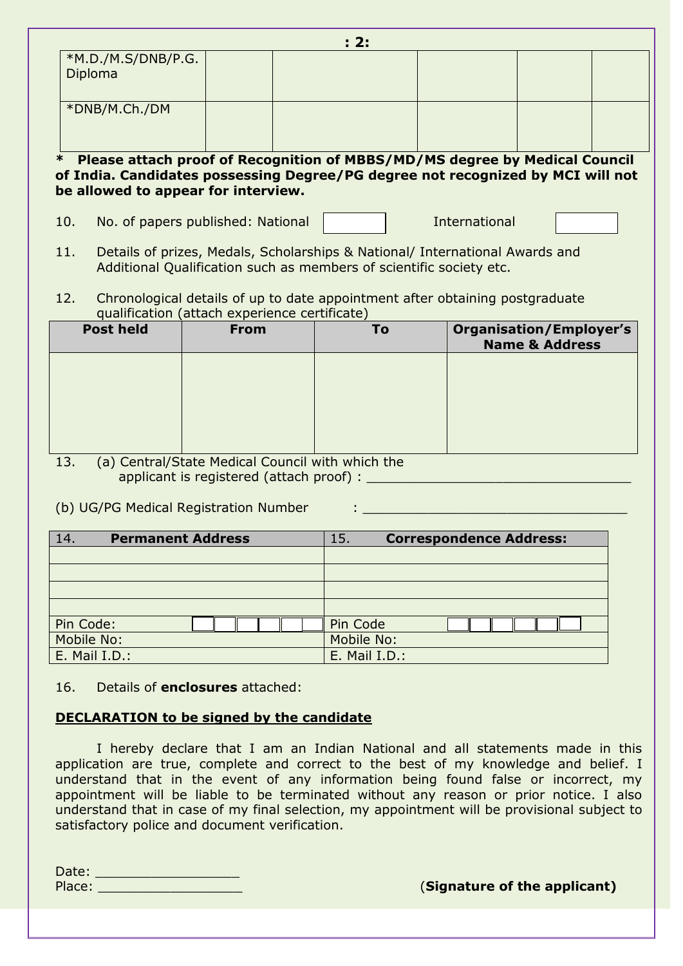|     |                                                                                                                                                     |                                                                                 | : 2: |  |                                                             |  |  |
|-----|-----------------------------------------------------------------------------------------------------------------------------------------------------|---------------------------------------------------------------------------------|------|--|-------------------------------------------------------------|--|--|
|     | *M.D./M.S/DNB/P.G.                                                                                                                                  |                                                                                 |      |  |                                                             |  |  |
|     | Diploma                                                                                                                                             |                                                                                 |      |  |                                                             |  |  |
|     |                                                                                                                                                     |                                                                                 |      |  |                                                             |  |  |
|     | *DNB/M.Ch./DM                                                                                                                                       |                                                                                 |      |  |                                                             |  |  |
|     |                                                                                                                                                     |                                                                                 |      |  |                                                             |  |  |
| ∗   |                                                                                                                                                     | Please attach proof of Recognition of MBBS/MD/MS degree by Medical Council      |      |  |                                                             |  |  |
|     |                                                                                                                                                     | of India. Candidates possessing Degree/PG degree not recognized by MCI will not |      |  |                                                             |  |  |
|     |                                                                                                                                                     | be allowed to appear for interview.                                             |      |  |                                                             |  |  |
|     |                                                                                                                                                     |                                                                                 |      |  |                                                             |  |  |
| 10. | International<br>No. of papers published: National                                                                                                  |                                                                                 |      |  |                                                             |  |  |
| 11. |                                                                                                                                                     |                                                                                 |      |  |                                                             |  |  |
|     | Details of prizes, Medals, Scholarships & National/ International Awards and<br>Additional Qualification such as members of scientific society etc. |                                                                                 |      |  |                                                             |  |  |
|     |                                                                                                                                                     |                                                                                 |      |  |                                                             |  |  |
| 12. |                                                                                                                                                     | Chronological details of up to date appointment after obtaining postgraduate    |      |  |                                                             |  |  |
|     |                                                                                                                                                     | qualification (attach experience certificate)                                   |      |  |                                                             |  |  |
|     | <b>Post held</b>                                                                                                                                    | <b>From</b>                                                                     | To   |  | <b>Organisation/Employer's</b><br><b>Name &amp; Address</b> |  |  |
|     |                                                                                                                                                     |                                                                                 |      |  |                                                             |  |  |
|     |                                                                                                                                                     |                                                                                 |      |  |                                                             |  |  |
|     |                                                                                                                                                     |                                                                                 |      |  |                                                             |  |  |
|     |                                                                                                                                                     |                                                                                 |      |  |                                                             |  |  |

13. (a) Central/State Medical Council with which the applicant is registered (attach proof) :

(b) UG/PG Medical Registration Number :

| <b>Permanent Address</b><br>14. |  |  |  |  |  | <b>Correspondence Address:</b><br>15. |               |
|---------------------------------|--|--|--|--|--|---------------------------------------|---------------|
|                                 |  |  |  |  |  |                                       |               |
|                                 |  |  |  |  |  |                                       |               |
|                                 |  |  |  |  |  |                                       |               |
|                                 |  |  |  |  |  |                                       |               |
| Pin Code:                       |  |  |  |  |  |                                       | Pin Code      |
| Mobile No:                      |  |  |  |  |  |                                       | Mobile No:    |
| E. Mail I.D.:                   |  |  |  |  |  |                                       | E. Mail I.D.: |

16. Details of **enclosures** attached:

#### **DECLARATION to be signed by the candidate**

I hereby declare that I am an Indian National and all statements made in this application are true, complete and correct to the best of my knowledge and belief. I understand that in the event of any information being found false or incorrect, my appointment will be liable to be terminated without any reason or prior notice. I also understand that in case of my final selection, my appointment will be provisional subject to satisfactory police and document verification.

| Date:  |  |
|--------|--|
| Place: |  |

**(Signature of the applicant)**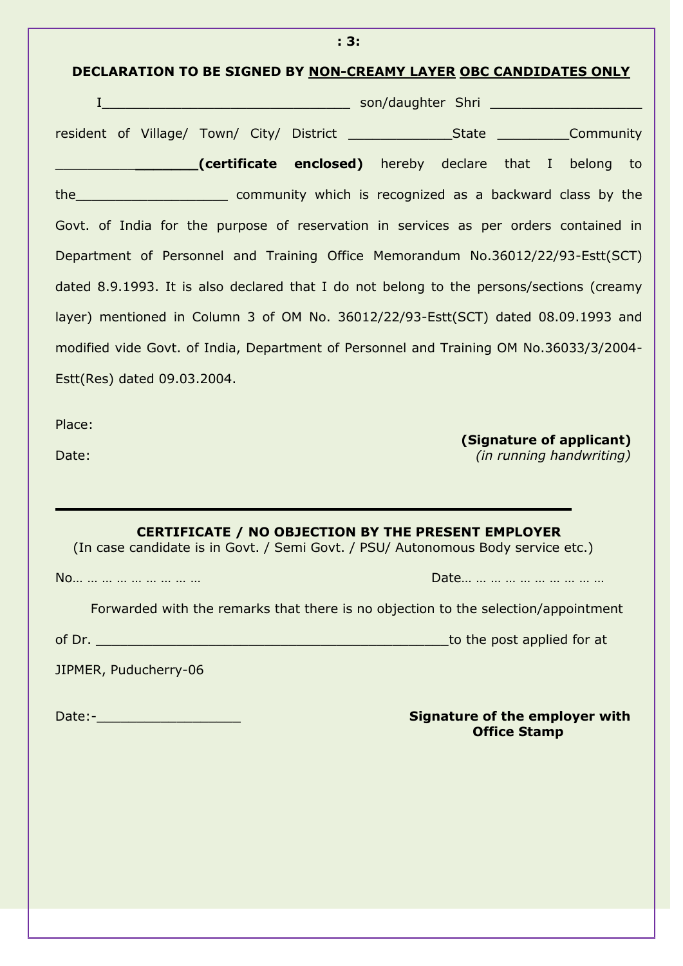| i Ji                                                                                                                                                                                                                                                                                             |
|--------------------------------------------------------------------------------------------------------------------------------------------------------------------------------------------------------------------------------------------------------------------------------------------------|
| DECLARATION TO BE SIGNED BY NON-CREAMY LAYER OBC CANDIDATES ONLY                                                                                                                                                                                                                                 |
|                                                                                                                                                                                                                                                                                                  |
|                                                                                                                                                                                                                                                                                                  |
| <b>Example 2016</b> (certificate enclosed) hereby declare that I belong to                                                                                                                                                                                                                       |
|                                                                                                                                                                                                                                                                                                  |
| Govt. of India for the purpose of reservation in services as per orders contained in                                                                                                                                                                                                             |
| Department of Personnel and Training Office Memorandum No.36012/22/93-Estt(SCT)                                                                                                                                                                                                                  |
| dated 8.9.1993. It is also declared that I do not belong to the persons/sections (creamy                                                                                                                                                                                                         |
| layer) mentioned in Column 3 of OM No. 36012/22/93-Estt(SCT) dated 08.09.1993 and                                                                                                                                                                                                                |
| modified vide Govt. of India, Department of Personnel and Training OM No.36033/3/2004-                                                                                                                                                                                                           |
| Estt(Res) dated 09.03.2004.                                                                                                                                                                                                                                                                      |
|                                                                                                                                                                                                                                                                                                  |
| Place:<br>(Signature of applicant)<br><i>(in running handwriting)</i><br>Date:                                                                                                                                                                                                                   |
| <b>CERTIFICATE / NO OBJECTION BY THE PRESENT EMPLOYER</b><br>(In case candidate is in Govt. / Semi Govt. / PSU/ Autonomous Body service etc.)<br>No<br>Forwarded with the remarks that there is no objection to the selection/appointment<br>to the post applied for at<br>JIPMER, Puducherry-06 |
| <b>Signature of the employer with</b><br><b>Office Stamp</b>                                                                                                                                                                                                                                     |

**: 3:**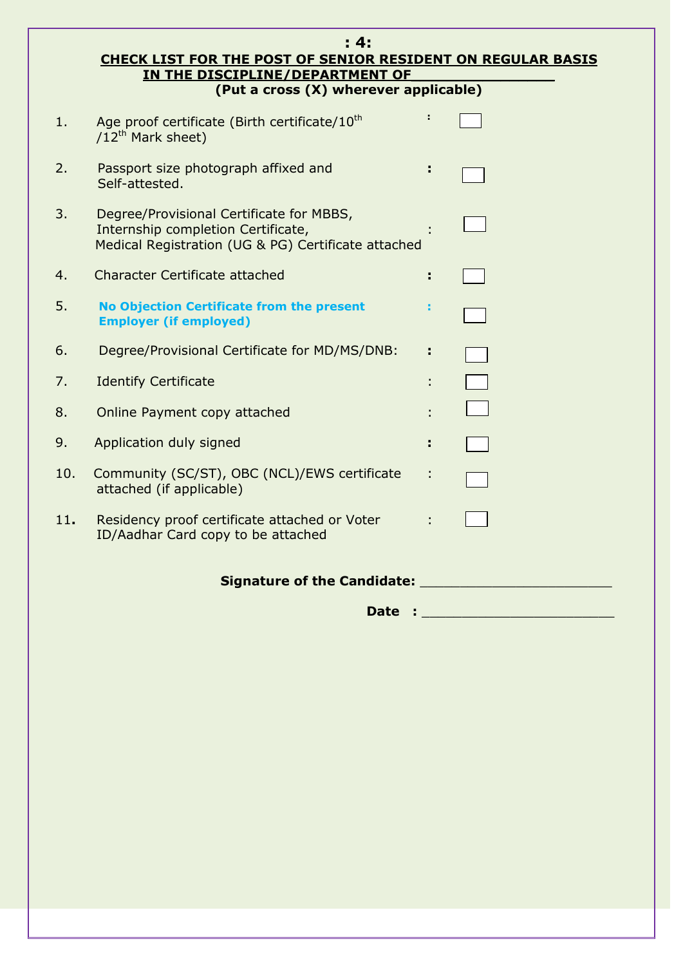|     | : 4:<br>CHECK LIST FOR THE POST OF SENIOR RESIDENT ON REGULAR BASIS                                                                   |    |  |
|-----|---------------------------------------------------------------------------------------------------------------------------------------|----|--|
|     | IN THE DISCIPLINE/DEPARTMENT OF<br>(Put a cross (X) wherever applicable)                                                              |    |  |
| 1.  | Age proof certificate (Birth certificate/10 <sup>th</sup><br>/12 <sup>th</sup> Mark sheet)                                            |    |  |
| 2.  | Passport size photograph affixed and<br>Self-attested.                                                                                |    |  |
| 3.  | Degree/Provisional Certificate for MBBS,<br>Internship completion Certificate,<br>Medical Registration (UG & PG) Certificate attached |    |  |
| 4.  | Character Certificate attached                                                                                                        |    |  |
| 5.  | <b>No Objection Certificate from the present</b><br><b>Employer (if employed)</b>                                                     |    |  |
| 6.  | Degree/Provisional Certificate for MD/MS/DNB:                                                                                         | ÷. |  |
| 7.  | <b>Identify Certificate</b>                                                                                                           |    |  |
| 8.  | Online Payment copy attached                                                                                                          |    |  |
| 9.  | Application duly signed                                                                                                               |    |  |
| 10. | Community (SC/ST), OBC (NCL)/EWS certificate<br>attached (if applicable)                                                              |    |  |
| 11. | Residency proof certificate attached or Voter<br>ID/Aadhar Card copy to be attached                                                   |    |  |
|     | Signature of the Candidate:                                                                                                           |    |  |
|     | Date                                                                                                                                  |    |  |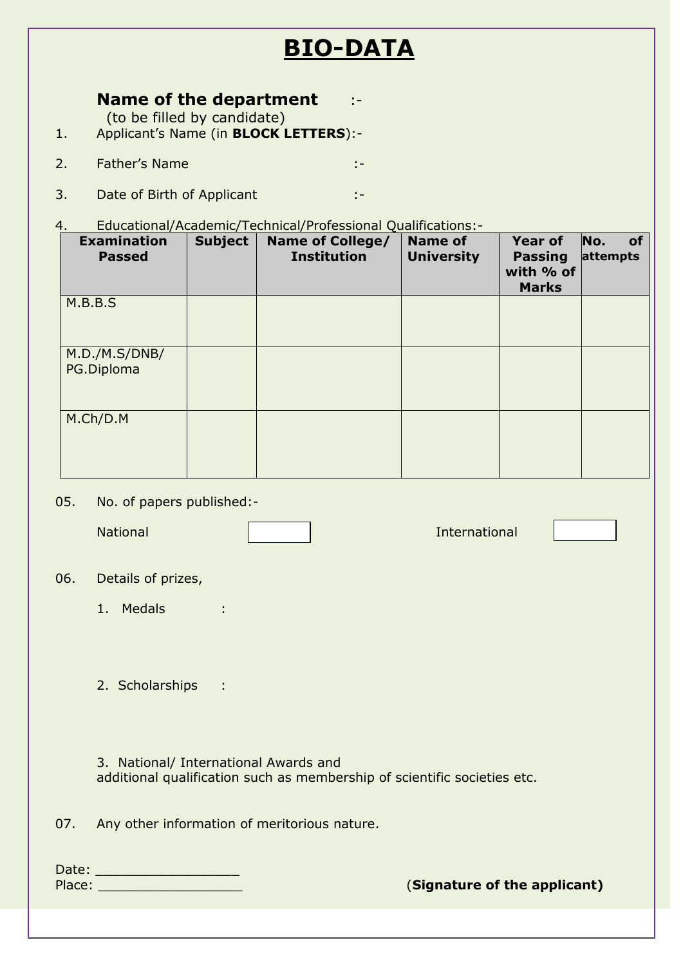# **BIO-DATA**

### **Name of the department** :-

(to be filled by candidate)

- 1. Applicant"s Name (in **BLOCK LETTERS**):-
- 2. Father's Name : 1999. The state of the state of the state of the state of the state of the state of the state of the state of the state of the state of the state of the state of the state of the state of the state of th
- 3. Date of Birth of Applicant :  $\cdot$
- 4. Educational/Academic/Technical/Professional Qualifications:-

| <b>Examination</b><br><b>Passed</b> | <b>Subject</b> | <b>Name of College/</b><br><b>Institution</b> | <b>Name of</b><br><b>University</b> | <b>Year of</b><br><b>Passing</b><br>with % of<br><b>Marks</b> | No.<br><b>of</b><br>attempts |
|-------------------------------------|----------------|-----------------------------------------------|-------------------------------------|---------------------------------------------------------------|------------------------------|
| M.B.B.S                             |                |                                               |                                     |                                                               |                              |
| M.D./M.S/DNB/<br>PG.Diploma         |                |                                               |                                     |                                                               |                              |
| M.Ch/D.M                            |                |                                               |                                     |                                                               |                              |

05. No. of papers published:-

National International

#### 06. Details of prizes,

1. Medals :

2. Scholarships :

3. National/ International Awards and additional qualification such as membership of scientific societies etc.

07. Any other information of meritorious nature.

Date: \_\_\_\_\_\_\_\_\_\_\_\_\_\_\_\_\_\_

Place: **Example 2018 Place: Constanting 2019 Constanting 2019 Constanting 2019 Constanting 2019 Constanting 2019 Constanting 2019 Constanting 2019 Constanting 2019 Constanting 2019 Constanting 2019**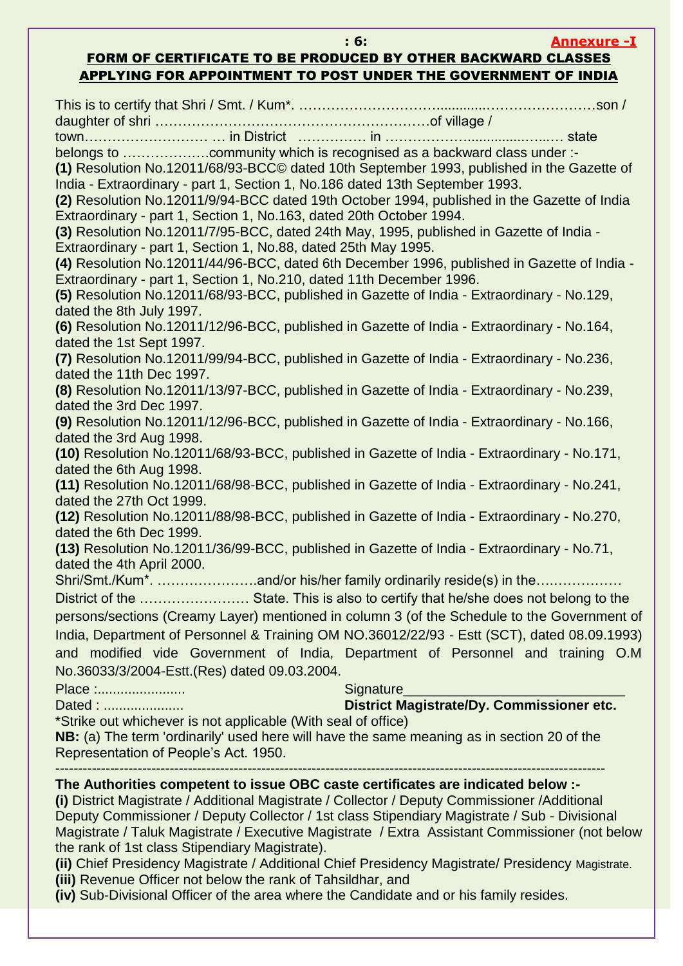#### **: 6: Annexure -I**

### FORM OF CERTIFICATE TO BE PRODUCED BY OTHER BACKWARD CLASSES APPLYING FOR APPOINTMENT TO POST UNDER THE GOVERNMENT OF INDIA

This is to certify that Shri / Smt. / Kum\*. ………………………….............……………………son / daughter of shri ……………………………………………………of village / town……………………… … in District …………… in ………………...............…...… state belongs to ……………….community which is recognised as a backward class under :- **(1)** Resolution No.12011/68/93-BCC© dated 10th September 1993, published in the Gazette of India - Extraordinary - part 1, Section 1, No.186 dated 13th September 1993. **(2)** Resolution No.12011/9/94-BCC dated 19th October 1994, published in the Gazette of India Extraordinary - part 1, Section 1, No.163, dated 20th October 1994. **(3)** Resolution No.12011/7/95-BCC, dated 24th May, 1995, published in Gazette of India - Extraordinary - part 1, Section 1, No.88, dated 25th May 1995. **(4)** Resolution No.12011/44/96-BCC, dated 6th December 1996, published in Gazette of India - Extraordinary - part 1, Section 1, No.210, dated 11th December 1996. **(5)** Resolution No.12011/68/93-BCC, published in Gazette of India - Extraordinary - No.129, dated the 8th July 1997. **(6)** Resolution No.12011/12/96-BCC, published in Gazette of India - Extraordinary - No.164, dated the 1st Sept 1997. **(7)** Resolution No.12011/99/94-BCC, published in Gazette of India - Extraordinary - No.236, dated the 11th Dec 1997. **(8)** Resolution No.12011/13/97-BCC, published in Gazette of India - Extraordinary - No.239, dated the 3rd Dec 1997. **(9)** Resolution No.12011/12/96-BCC, published in Gazette of India - Extraordinary - No.166, dated the 3rd Aug 1998. **(10)** Resolution No.12011/68/93-BCC, published in Gazette of India - Extraordinary - No.171, dated the 6th Aug 1998. **(11)** Resolution No.12011/68/98-BCC, published in Gazette of India - Extraordinary - No.241, dated the 27th Oct 1999. **(12)** Resolution No.12011/88/98-BCC, published in Gazette of India - Extraordinary - No.270, dated the 6th Dec 1999. **(13)** Resolution No.12011/36/99-BCC, published in Gazette of India - Extraordinary - No.71, dated the 4th April 2000. Shri/Smt./Kum\*. ………………….and/or his/her family ordinarily reside(s) in the….…………… District of the …………………… State. This is also to certify that he/she does not belong to the persons/sections (Creamy Layer) mentioned in column 3 (of the Schedule to the Government of India, Department of Personnel & Training OM NO.36012/22/93 - Estt (SCT), dated 08.09.1993) and modified vide Government of India, Department of Personnel and training O.M No.36033/3/2004-Estt.(Res) dated 09.03.2004. Place :....................... Signature\_\_\_\_\_\_\_\_\_\_\_\_\_\_\_\_\_\_\_\_\_\_\_\_\_\_\_\_\_ Dated : ..................... **District Magistrate/Dy. Commissioner etc.** \*Strike out whichever is not applicable (With seal of office) **NB:** (a) The term 'ordinarily' used here will have the same meaning as in section 20 of the Representation of People's Act. 1950. ------------------------------------------------------------------------------------------------------------------------ **The Authorities competent to issue OBC caste certificates are indicated below :- (i)** District Magistrate / Additional Magistrate / Collector / Deputy Commissioner /Additional Deputy Commissioner / Deputy Collector / 1st class Stipendiary Magistrate / Sub - Divisional Magistrate / Taluk Magistrate / Executive Magistrate / Extra Assistant Commissioner (not below the rank of 1st class Stipendiary Magistrate). **(ii)** Chief Presidency Magistrate / Additional Chief Presidency Magistrate/ Presidency Magistrate.

**(iii)** Revenue Officer not below the rank of Tahsildhar, and

**(iv)** Sub-Divisional Officer of the area where the Candidate and or his family resides.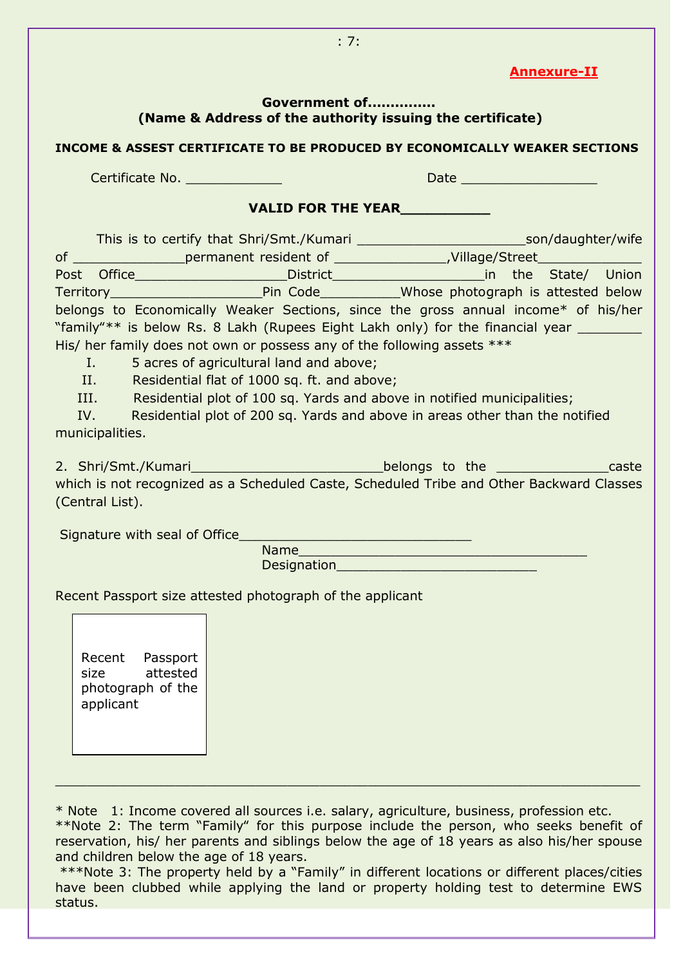#### **Annexure-II**

#### **Government of............... (Name & Address of the authority issuing the certificate)**

#### **INCOME & ASSEST CERTIFICATE TO BE PRODUCED BY ECONOMICALLY WEAKER SECTIONS**

Certificate No. \_\_\_\_\_\_\_\_\_\_\_\_ Date \_\_\_\_\_\_\_\_\_\_\_\_\_\_\_\_\_

### **VALID FOR THE YEAR\_\_\_\_\_\_\_\_\_\_**

This is to certify that Shri/Smt./Kumari \_\_\_\_\_\_\_\_\_\_\_\_\_\_\_\_\_\_\_\_\_son/daughter/wife of \_\_\_\_\_\_\_\_\_\_\_\_\_\_permanent resident of \_\_\_\_\_\_\_\_\_\_\_\_\_\_,Village/Street\_\_\_\_\_\_\_\_\_\_\_\_\_ Post Office\_\_\_\_\_\_\_\_\_\_\_\_\_\_\_\_\_\_\_\_\_\_\_\_\_\_District\_\_\_\_\_\_\_\_\_\_\_\_\_\_\_\_\_\_\_\_\_\_\_\_\_\_\_\_\_in the State/ Union Territory\_\_\_\_\_\_\_\_\_\_\_\_\_\_\_\_\_\_\_Pin Code\_\_\_\_\_\_\_\_\_\_Whose photograph is attested below belongs to Economically Weaker Sections, since the gross annual income\* of his/her "family"\*\* is below Rs. 8 Lakh (Rupees Eight Lakh only) for the financial year His/ her family does not own or possess any of the following assets \*\*\* I. 5 acres of agricultural land and above;

II. Residential flat of 1000 sq. ft. and above;

III. Residential plot of 100 sq. Yards and above in notified municipalities;

 IV. Residential plot of 200 sq. Yards and above in areas other than the notified municipalities.

2. Shri/Smt./Kumari\_\_\_\_\_\_\_\_\_\_\_\_\_\_\_\_\_\_\_\_\_\_\_\_\_\_\_\_\_\_belongs to the \_\_\_\_\_\_\_\_\_\_\_\_\_\_\_caste which is not recognized as a Scheduled Caste, Scheduled Tribe and Other Backward Classes (Central List).

Signature with seal of Office

Name\_\_\_\_\_\_\_\_\_\_\_\_\_\_\_\_\_\_\_\_\_\_\_\_\_\_\_\_\_\_\_\_\_\_\_\_ Designation

Recent Passport size attested photograph of the applicant

Recent Passport size attested photograph of the applicant

\* Note 1: Income covered all sources i.e. salary, agriculture, business, profession etc.

\*\*Note 2: The term "Family" for this purpose include the person, who seeks benefit of reservation, his/ her parents and siblings below the age of 18 years as also his/her spouse and children below the age of 18 years.

 $\_$  , and the set of the set of the set of the set of the set of the set of the set of the set of the set of the set of the set of the set of the set of the set of the set of the set of the set of the set of the set of th

\*\*\*Note 3: The property held by a "Family" in different locations or different places/cities have been clubbed while applying the land or property holding test to determine EWS status.